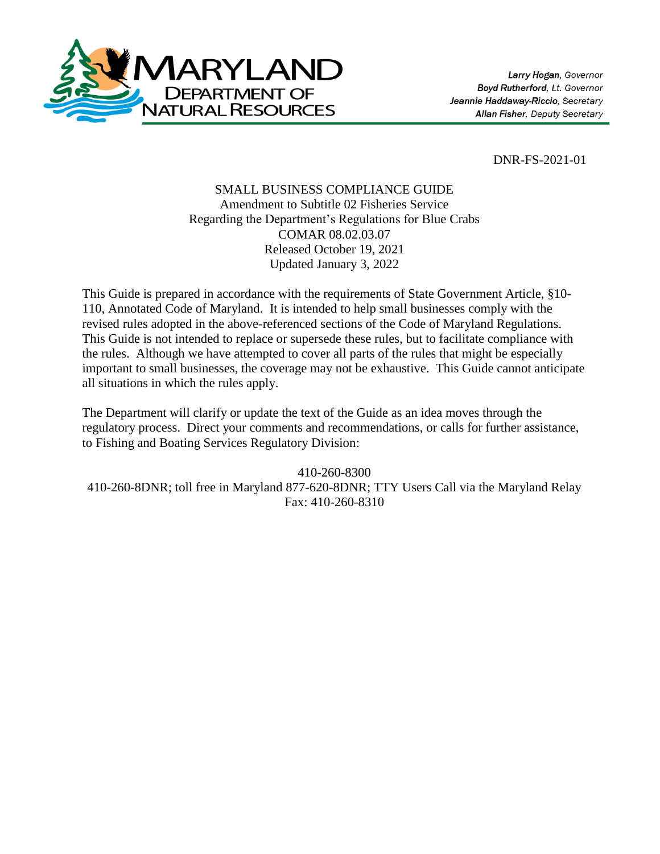

DNR-FS-2021-01

# SMALL BUSINESS COMPLIANCE GUIDE Amendment to Subtitle 02 Fisheries Service Regarding the Department's Regulations for Blue Crabs COMAR 08.02.03.07 Released October 19, 2021 Updated January 3, 2022

This Guide is prepared in accordance with the requirements of State Government Article, §10- 110, Annotated Code of Maryland. It is intended to help small businesses comply with the revised rules adopted in the above-referenced sections of the Code of Maryland Regulations. This Guide is not intended to replace or supersede these rules, but to facilitate compliance with the rules. Although we have attempted to cover all parts of the rules that might be especially important to small businesses, the coverage may not be exhaustive. This Guide cannot anticipate all situations in which the rules apply.

The Department will clarify or update the text of the Guide as an idea moves through the regulatory process. Direct your comments and recommendations, or calls for further assistance, to Fishing and Boating Services Regulatory Division:

410-260-8300 410-260-8DNR; toll free in Maryland 877-620-8DNR; TTY Users Call via the Maryland Relay Fax: 410-260-8310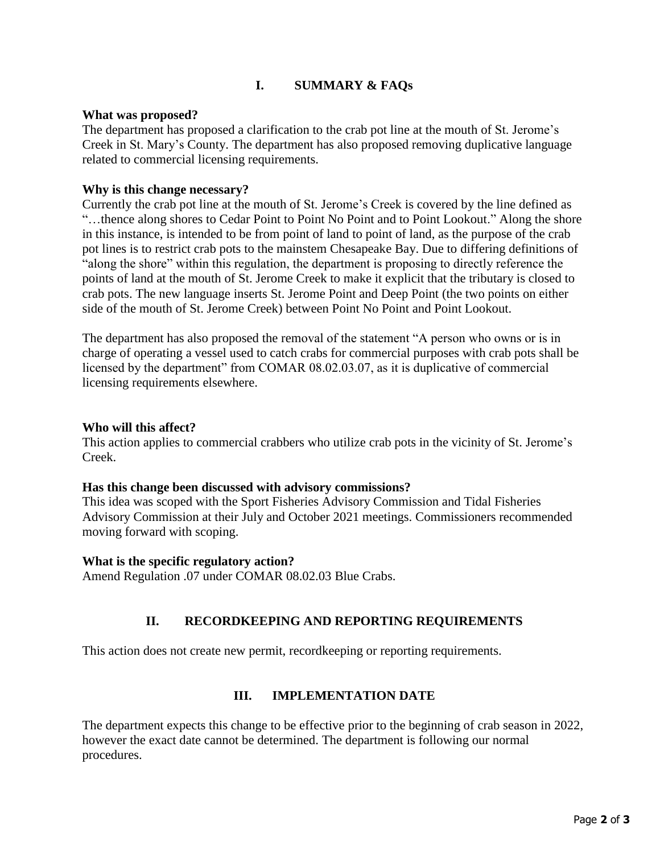# **I. SUMMARY & FAQs**

## **What was proposed?**

The department has proposed a clarification to the crab pot line at the mouth of St. Jerome's Creek in St. Mary's County. The department has also proposed removing duplicative language related to commercial licensing requirements.

## **Why is this change necessary?**

Currently the crab pot line at the mouth of St. Jerome's Creek is covered by the line defined as "…thence along shores to Cedar Point to Point No Point and to Point Lookout." Along the shore in this instance, is intended to be from point of land to point of land, as the purpose of the crab pot lines is to restrict crab pots to the mainstem Chesapeake Bay. Due to differing definitions of "along the shore" within this regulation, the department is proposing to directly reference the points of land at the mouth of St. Jerome Creek to make it explicit that the tributary is closed to crab pots. The new language inserts St. Jerome Point and Deep Point (the two points on either side of the mouth of St. Jerome Creek) between Point No Point and Point Lookout.

The department has also proposed the removal of the statement "A person who owns or is in charge of operating a vessel used to catch crabs for commercial purposes with crab pots shall be licensed by the department" from COMAR 08.02.03.07, as it is duplicative of commercial licensing requirements elsewhere.

#### **Who will this affect?**

This action applies to commercial crabbers who utilize crab pots in the vicinity of St. Jerome's Creek.

#### **Has this change been discussed with advisory commissions?**

This idea was scoped with the Sport Fisheries Advisory Commission and Tidal Fisheries Advisory Commission at their July and October 2021 meetings. Commissioners recommended moving forward with scoping.

#### **What is the specific regulatory action?**

Amend Regulation .07 under COMAR 08.02.03 Blue Crabs.

## **II. RECORDKEEPING AND REPORTING REQUIREMENTS**

This action does not create new permit, recordkeeping or reporting requirements.

# **III. IMPLEMENTATION DATE**

The department expects this change to be effective prior to the beginning of crab season in 2022, however the exact date cannot be determined. The department is following our normal procedures.